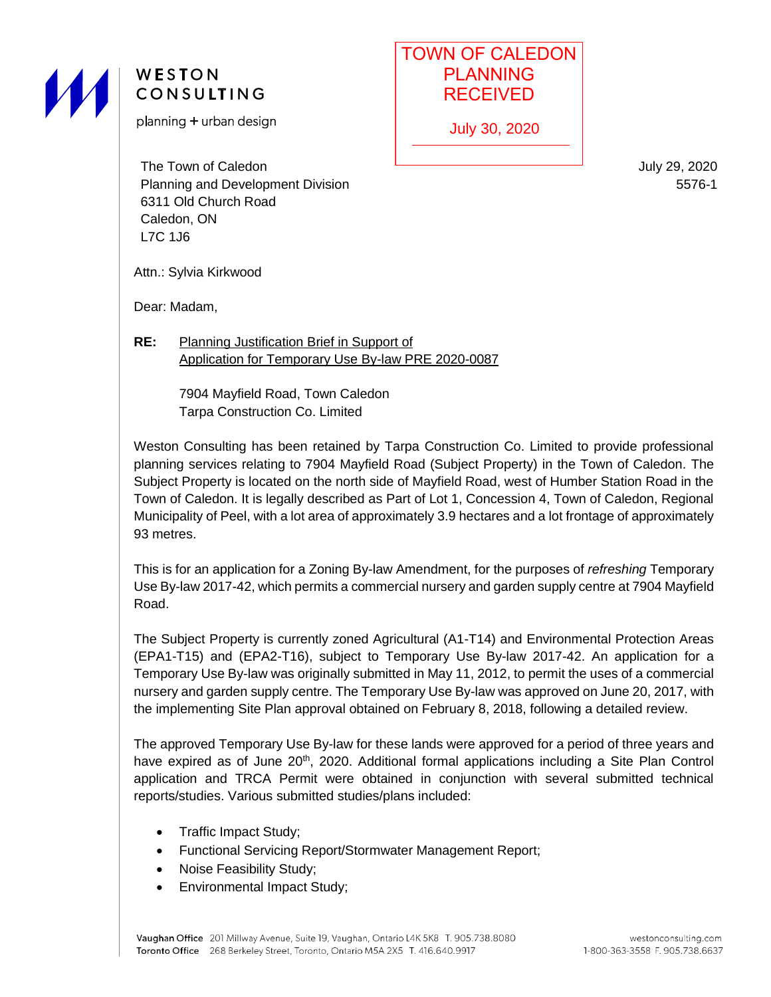

# WESTON CONSULTING

planning + urban design

The Town of Caledon Planning and Development Division 6311 Old Church Road Caledon, ON L7C 1J6

Attn.: Sylvia Kirkwood

Dear: Madam,

**RE:** Planning Justification Brief in Support of Application for Temporary Use By-law PRE 2020-0087

> 7904 Mayfield Road, Town Caledon Tarpa Construction Co. Limited

Weston Consulting has been retained by Tarpa Construction Co. Limited to provide professional planning services relating to 7904 Mayfield Road (Subject Property) in the Town of Caledon. The Subject Property is located on the north side of Mayfield Road, west of Humber Station Road in the Town of Caledon. It is legally described as Part of Lot 1, Concession 4, Town of Caledon, Regional Municipality of Peel, with a lot area of approximately 3.9 hectares and a lot frontage of approximately 93 metres.

TOWN OF CALEDON **PLANNING** RECEIVED

July 30, 2020

This is for an application for a Zoning By-law Amendment, for the purposes of *refreshing* Temporary Use By-law 2017-42, which permits a commercial nursery and garden supply centre at 7904 Mayfield Road.

The Subject Property is currently zoned Agricultural (A1-T14) and Environmental Protection Areas (EPA1-T15) and (EPA2-T16), subject to Temporary Use By-law 2017-42. An application for a Temporary Use By-law was originally submitted in May 11, 2012, to permit the uses of a commercial nursery and garden supply centre. The Temporary Use By-law was approved on June 20, 2017, with the implementing Site Plan approval obtained on February 8, 2018, following a detailed review.

The approved Temporary Use By-law for these lands were approved for a period of three years and have expired as of June 20<sup>th</sup>, 2020. Additional formal applications including a Site Plan Control application and TRCA Permit were obtained in conjunction with several submitted technical reports/studies. Various submitted studies/plans included:

- Traffic Impact Study;
- Functional Servicing Report/Stormwater Management Report;
- Noise Feasibility Study;
- Environmental Impact Study;

July 29, 2020 5576-1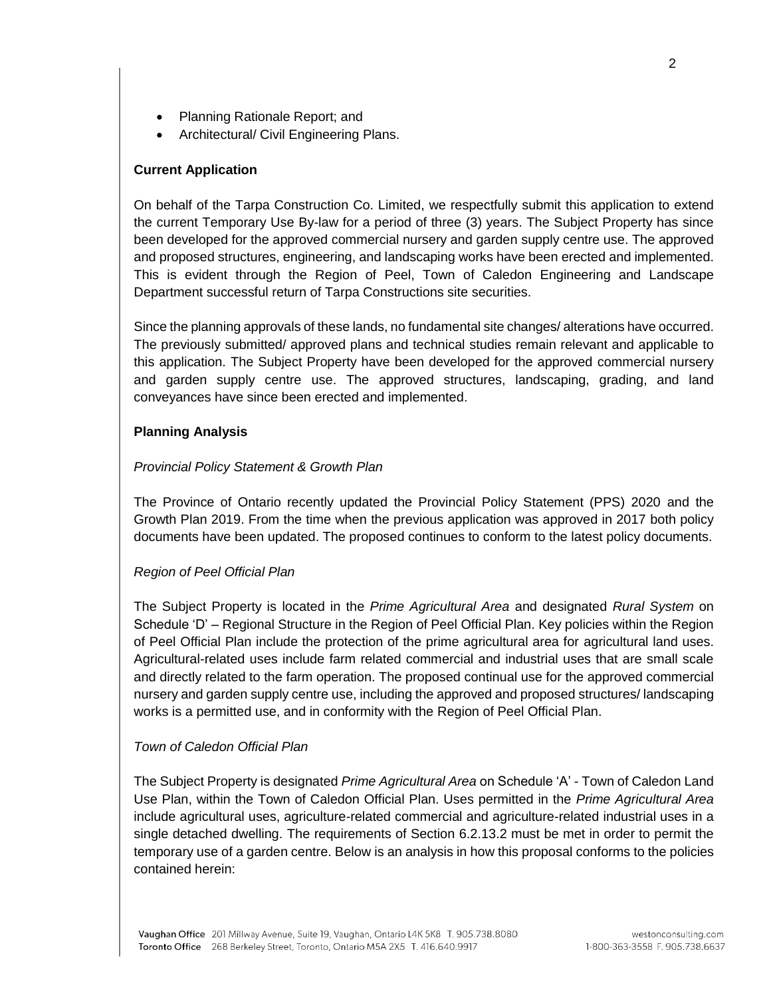- Planning Rationale Report; and
- Architectural/ Civil Engineering Plans.

## **Current Application**

On behalf of the Tarpa Construction Co. Limited, we respectfully submit this application to extend the current Temporary Use By-law for a period of three (3) years. The Subject Property has since been developed for the approved commercial nursery and garden supply centre use. The approved and proposed structures, engineering, and landscaping works have been erected and implemented. This is evident through the Region of Peel, Town of Caledon Engineering and Landscape Department successful return of Tarpa Constructions site securities.

Since the planning approvals of these lands, no fundamental site changes/ alterations have occurred. The previously submitted/ approved plans and technical studies remain relevant and applicable to this application. The Subject Property have been developed for the approved commercial nursery and garden supply centre use. The approved structures, landscaping, grading, and land conveyances have since been erected and implemented.

## **Planning Analysis**

## *Provincial Policy Statement & Growth Plan*

The Province of Ontario recently updated the Provincial Policy Statement (PPS) 2020 and the Growth Plan 2019. From the time when the previous application was approved in 2017 both policy documents have been updated. The proposed continues to conform to the latest policy documents.

#### *Region of Peel Official Plan*

The Subject Property is located in the *Prime Agricultural Area* and designated *Rural System* on Schedule 'D' – Regional Structure in the Region of Peel Official Plan. Key policies within the Region of Peel Official Plan include the protection of the prime agricultural area for agricultural land uses. Agricultural-related uses include farm related commercial and industrial uses that are small scale and directly related to the farm operation. The proposed continual use for the approved commercial nursery and garden supply centre use, including the approved and proposed structures/ landscaping works is a permitted use, and in conformity with the Region of Peel Official Plan.

#### *Town of Caledon Official Plan*

The Subject Property is designated *Prime Agricultural Area* on Schedule 'A' - Town of Caledon Land Use Plan, within the Town of Caledon Official Plan. Uses permitted in the *Prime Agricultural Area*  include agricultural uses, agriculture-related commercial and agriculture-related industrial uses in a single detached dwelling. The requirements of Section 6.2.13.2 must be met in order to permit the temporary use of a garden centre. Below is an analysis in how this proposal conforms to the policies contained herein: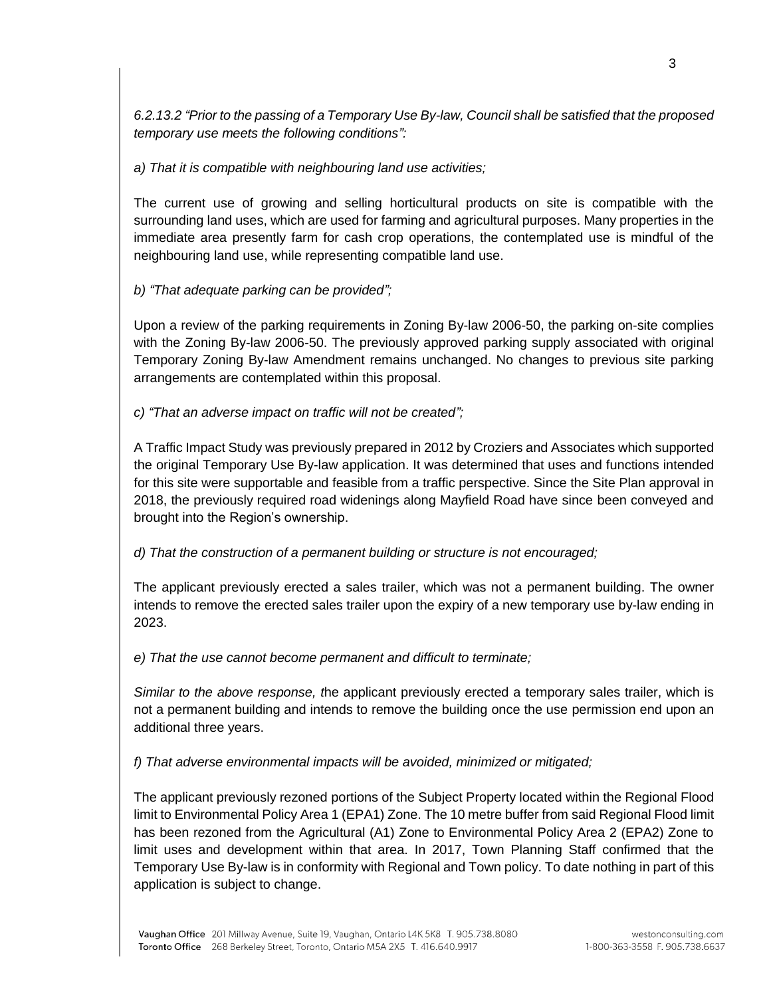*6.2.13.2 "Prior to the passing of a Temporary Use By-law, Council shall be satisfied that the proposed temporary use meets the following conditions":*

# *a) That it is compatible with neighbouring land use activities;*

The current use of growing and selling horticultural products on site is compatible with the surrounding land uses, which are used for farming and agricultural purposes. Many properties in the immediate area presently farm for cash crop operations, the contemplated use is mindful of the neighbouring land use, while representing compatible land use.

# *b) "That adequate parking can be provided";*

Upon a review of the parking requirements in Zoning By-law 2006-50, the parking on-site complies with the Zoning By-law 2006-50. The previously approved parking supply associated with original Temporary Zoning By-law Amendment remains unchanged. No changes to previous site parking arrangements are contemplated within this proposal.

# *c) "That an adverse impact on traffic will not be created";*

A Traffic Impact Study was previously prepared in 2012 by Croziers and Associates which supported the original Temporary Use By-law application. It was determined that uses and functions intended for this site were supportable and feasible from a traffic perspective. Since the Site Plan approval in 2018, the previously required road widenings along Mayfield Road have since been conveyed and brought into the Region's ownership.

# *d) That the construction of a permanent building or structure is not encouraged;*

The applicant previously erected a sales trailer, which was not a permanent building. The owner intends to remove the erected sales trailer upon the expiry of a new temporary use by-law ending in 2023.

# *e) That the use cannot become permanent and difficult to terminate;*

*Similar to the above response, t*he applicant previously erected a temporary sales trailer, which is not a permanent building and intends to remove the building once the use permission end upon an additional three years.

# *f) That adverse environmental impacts will be avoided, minimized or mitigated;*

The applicant previously rezoned portions of the Subject Property located within the Regional Flood limit to Environmental Policy Area 1 (EPA1) Zone. The 10 metre buffer from said Regional Flood limit has been rezoned from the Agricultural (A1) Zone to Environmental Policy Area 2 (EPA2) Zone to limit uses and development within that area. In 2017, Town Planning Staff confirmed that the Temporary Use By-law is in conformity with Regional and Town policy. To date nothing in part of this application is subject to change.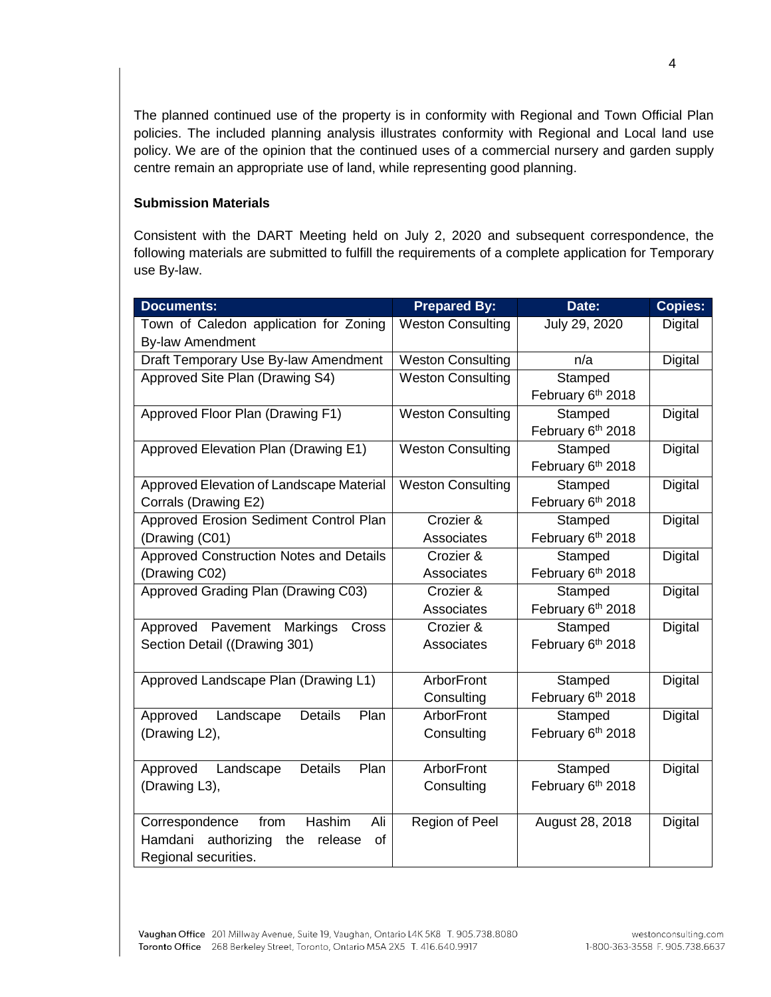The planned continued use of the property is in conformity with Regional and Town Official Plan policies. The included planning analysis illustrates conformity with Regional and Local land use policy. We are of the opinion that the continued uses of a commercial nursery and garden supply centre remain an appropriate use of land, while representing good planning.

## **Submission Materials**

Consistent with the DART Meeting held on July 2, 2020 and subsequent correspondence, the following materials are submitted to fulfill the requirements of a complete application for Temporary use By-law.

| <b>Documents:</b>                               | <b>Prepared By:</b>             | Date:                         | <b>Copies:</b> |
|-------------------------------------------------|---------------------------------|-------------------------------|----------------|
| Town of Caledon application for Zoning          | <b>Weston Consulting</b>        | July 29, 2020                 | Digital        |
| <b>By-law Amendment</b>                         |                                 |                               |                |
| Draft Temporary Use By-law Amendment            | <b>Weston Consulting</b>        | n/a                           | Digital        |
| Approved Site Plan (Drawing S4)                 | <b>Weston Consulting</b>        | Stamped                       |                |
|                                                 |                                 | February 6th 2018             |                |
| Approved Floor Plan (Drawing F1)                | <b>Weston Consulting</b>        | Stamped                       | Digital        |
|                                                 |                                 | February 6th 2018             |                |
| Approved Elevation Plan (Drawing E1)            | <b>Weston Consulting</b>        | Stamped                       | <b>Digital</b> |
|                                                 |                                 | February 6th 2018             |                |
| Approved Elevation of Landscape Material        | <b>Weston Consulting</b>        | Stamped                       | Digital        |
| Corrals (Drawing E2)                            |                                 | February 6th 2018             |                |
| Approved Erosion Sediment Control Plan          | Crozier &                       | Stamped                       | Digital        |
| (Drawing (C01)                                  | Associates                      | February 6th 2018             |                |
| Approved Construction Notes and Details         | Crozier &                       | Stamped                       | <b>Digital</b> |
| (Drawing C02)                                   | Associates                      | February 6 <sup>th</sup> 2018 |                |
| Approved Grading Plan (Drawing C03)             | Crozier &                       | Stamped                       | Digital        |
|                                                 | Associates                      | February 6th 2018             |                |
| Approved Pavement Markings<br>Cross             | Crozier $\overline{\mathbf{g}}$ | Stamped                       | <b>Digital</b> |
| Section Detail ((Drawing 301)                   | Associates                      | February 6th 2018             |                |
|                                                 |                                 |                               |                |
| Approved Landscape Plan (Drawing L1)            | ArborFront                      | Stamped                       | <b>Digital</b> |
|                                                 | Consulting                      | February 6 <sup>th</sup> 2018 |                |
| <b>Details</b><br>Approved<br>Plan<br>Landscape | ArborFront                      | Stamped                       | Digital        |
| (Drawing L2),                                   | Consulting                      | February 6th 2018             |                |
|                                                 |                                 |                               |                |
| <b>Details</b><br>Plan<br>Approved<br>Landscape | ArborFront                      | Stamped                       | Digital        |
| (Drawing L3),                                   | Consulting                      | February 6th 2018             |                |
|                                                 |                                 |                               |                |
| Hashim<br>Ali<br>Correspondence<br>from         | Region of Peel                  | August 28, 2018               | <b>Digital</b> |
| Hamdani authorizing<br>the release<br>of        |                                 |                               |                |
| Regional securities.                            |                                 |                               |                |